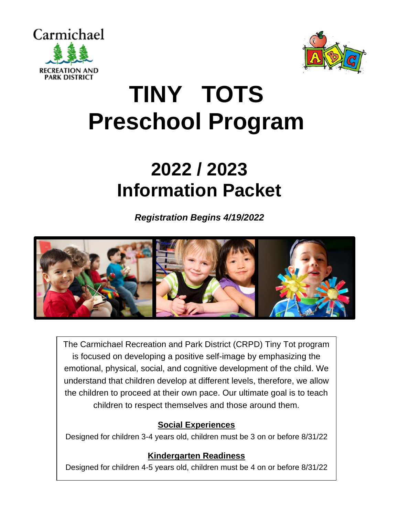



# **TINY TOTS Preschool Program**

## **2022 / 2023 Information Packet**

*Registration Begins 4/19/2022*



The Carmichael Recreation and Park District (CRPD) Tiny Tot program is focused on developing a positive self-image by emphasizing the emotional, physical, social, and cognitive development of the child. We understand that children develop at different levels, therefore, we allow the children to proceed at their own pace. Our ultimate goal is to teach children to respect themselves and those around them.

#### **Social Experiences**

Designed for children 3-4 years old, children must be 3 on or before 8/31/22

#### **Kindergarten Readiness**

Designed for children 4-5 years old, children must be 4 on or before 8/31/22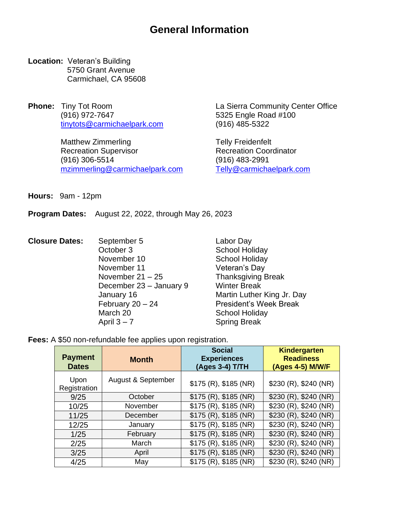- **Location:** Veteran's Building 5750 Grant Avenue Carmichael, CA 95608
- **Phone:** Tiny Tot Room La Sierra Community Center Office (916) 972-7647 5325 Engle Road #100 [tinytots@carmichaelpark.com](mailto:tinytots@carmichaelpark.com) (916) 485-5322

Matthew Zimmerling Telly Freidenfelt Recreation Supervisor **Recreation Coordinator**  (916) 306-5514 (916) 483-2991 [mzimmerling@carmichaelpark.com](mailto:mzimmerling@carmichaelpark.com) [Telly@carmichaelpark.com](mailto:Telly@carmichaelpark.com)

**Hours:** 9am - 12pm

**Program Dates:** August 22, 2022, through May 26, 2023

- **Closure Dates:** September 5 Labor Day October 3 School Holiday November 10 School Holiday November 11 Veteran's Day November 21 – 25 Thanksgiving Break December 23 – January 9 Winter Break February 20 – 24 President's Week Break March 20 School Holiday April 3 – 7 Spring Break
	- January 16 Martin Luther King Jr. Day
- **Fees:** A \$50 non-refundable fee applies upon registration.

| <b>Payment</b><br><b>Dates</b> | <b>Month</b>       | <b>Social</b><br><b>Experiences</b><br>(Ages 3-4) T/TH | <b>Kindergarten</b><br><b>Readiness</b><br>(Ages 4-5) M/W/F |
|--------------------------------|--------------------|--------------------------------------------------------|-------------------------------------------------------------|
| Upon<br>Registration           | August & September | $$175$ (R), $$185$ (NR)                                | \$230 (R), \$240 (NR)                                       |
| 9/25                           | October            | \$175 (R), \$185 (NR)                                  | \$230 (R), \$240 (NR)                                       |
| 10/25                          | November           | $$175$ (R), $$185$ (NR)                                | \$230 (R), \$240 (NR)                                       |
| 11/25                          | December           | $$175$ (R), $$185$ (NR)                                | \$230 (R), \$240 (NR)                                       |
| 12/25                          | January            | $$175$ (R), $$185$ (NR)                                | \$230 (R), \$240 (NR)                                       |
| 1/25                           | February           | $$175$ (R), $$185$ (NR)                                | \$230 (R), \$240 (NR)                                       |
| 2/25                           | March              | $$175$ (R), $$185$ (NR)                                | \$230 (R), \$240 (NR)                                       |
| 3/25                           | April              | $$175$ (R), $$185$ (NR)                                | \$230 (R), \$240 (NR)                                       |
| 4/25                           | May                | $$175$ (R), $$185$ (NR)                                | \$230 (R), \$240 (NR)                                       |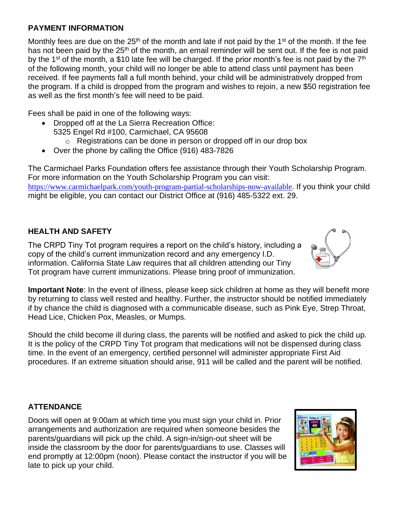#### **PAYMENT INFORMATION**

Monthly fees are due on the  $25<sup>th</sup>$  of the month and late if not paid by the 1<sup>st</sup> of the month. If the fee has not been paid by the 25<sup>th</sup> of the month, an email reminder will be sent out. If the fee is not paid by the 1<sup>st</sup> of the month, a \$10 late fee will be charged. If the prior month's fee is not paid by the 7<sup>th</sup> of the following month, your child will no longer be able to attend class until payment has been received. If fee payments fall a full month behind, your child will be administratively dropped from the program. If a child is dropped from the program and wishes to rejoin, a new \$50 registration fee as well as the first month's fee will need to be paid.

Fees shall be paid in one of the following ways:

- Dropped off at the La Sierra Recreation Office: 5325 Engel Rd #100, Carmichael, CA 95608
	- $\circ$  Registrations can be done in person or dropped off in our drop box
- Over the phone by calling the Office (916) 483-7826

The Carmichael Parks Foundation offers fee assistance through their Youth Scholarship Program. For more information on the Youth Scholarship Program you can visit: <https://www.carmichaelpark.com/youth-program-partial-scholarships-now-available>. If you think your child might be eligible, you can contact our District Office at (916) 485-5322 ext. 29.

#### **HEALTH AND SAFETY**

The CRPD Tiny Tot program requires a report on the child's history, including a copy of the child's current immunization record and any emergency I.D. information. California State Law requires that all children attending our Tiny Tot program have current immunizations. Please bring proof of immunization.

**Important Note**: In the event of illness, please keep sick children at home as they will benefit more by returning to class well rested and healthy. Further, the instructor should be notified immediately if by chance the child is diagnosed with a communicable disease, such as Pink Eye, Strep Throat, Head Lice, Chicken Pox, Measles, or Mumps.

Should the child become ill during class, the parents will be notified and asked to pick the child up. It is the policy of the CRPD Tiny Tot program that medications will not be dispensed during class time. In the event of an emergency, certified personnel will administer appropriate First Aid procedures. If an extreme situation should arise, 911 will be called and the parent will be notified.

#### **ATTENDANCE**

Doors will open at 9:00am at which time you must sign your child in. Prior arrangements and authorization are required when someone besides the parents/guardians will pick up the child. A sign-in/sign-out sheet will be inside the classroom by the door for parents/guardians to use. Classes will end promptly at 12:00pm (noon). Please contact the instructor if you will be late to pick up your child.



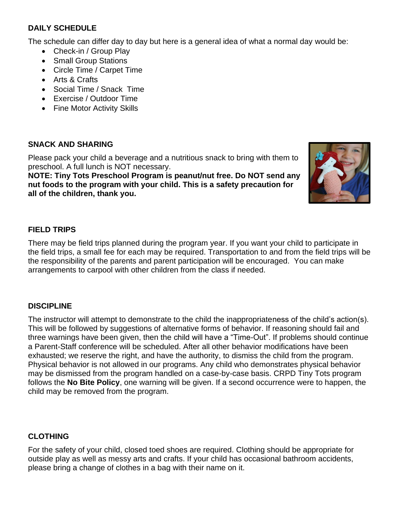#### **DAILY SCHEDULE**

The schedule can differ day to day but here is a general idea of what a normal day would be:

- Check-in / Group Play
- Small Group Stations
- Circle Time / Carpet Time
- Arts & Crafts
- Social Time / Snack Time
- Exercise / Outdoor Time
- Fine Motor Activity Skills

#### **SNACK AND SHARING**

Please pack your child a beverage and a nutritious snack to bring with them to preschool. A full lunch is NOT necessary.

**NOTE: Tiny Tots Preschool Program is peanut/nut free. Do NOT send any nut foods to the program with your child. This is a safety precaution for all of the children, thank you.**



#### **FIELD TRIPS**

There may be field trips planned during the program year. If you want your child to participate in the field trips, a small fee for each may be required. Transportation to and from the field trips will be the responsibility of the parents and parent participation will be encouraged. You can make arrangements to carpool with other children from the class if needed.

#### **DISCIPLINE**

The instructor will attempt to demonstrate to the child the inappropriateness of the child's action(s). This will be followed by suggestions of alternative forms of behavior. If reasoning should fail and three warnings have been given, then the child will have a "Time-Out". If problems should continue a Parent-Staff conference will be scheduled. After all other behavior modifications have been exhausted; we reserve the right, and have the authority, to dismiss the child from the program. Physical behavior is not allowed in our programs. Any child who demonstrates physical behavior may be dismissed from the program handled on a case-by-case basis. CRPD Tiny Tots program follows the **No Bite Policy**, one warning will be given. If a second occurrence were to happen, the child may be removed from the program.

#### **CLOTHING**

For the safety of your child, closed toed shoes are required. Clothing should be appropriate for outside play as well as messy arts and crafts. If your child has occasional bathroom accidents, please bring a change of clothes in a bag with their name on it.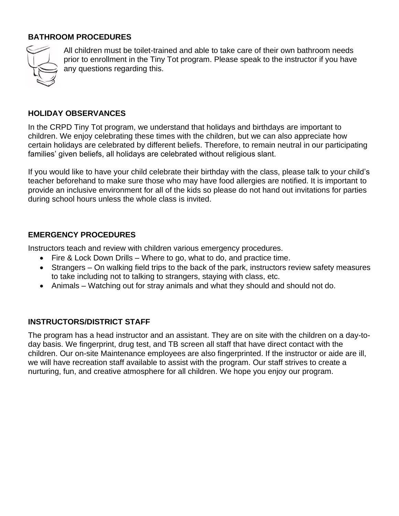#### **BATHROOM PROCEDURES**



All children must be toilet-trained and able to take care of their own bathroom needs prior to enrollment in the Tiny Tot program. Please speak to the instructor if you have any questions regarding this.

#### **HOLIDAY OBSERVANCES**

In the CRPD Tiny Tot program, we understand that holidays and birthdays are important to children. We enjoy celebrating these times with the children, but we can also appreciate how certain holidays are celebrated by different beliefs. Therefore, to remain neutral in our participating families' given beliefs, all holidays are celebrated without religious slant.

If you would like to have your child celebrate their birthday with the class, please talk to your child's teacher beforehand to make sure those who may have food allergies are notified. It is important to provide an inclusive environment for all of the kids so please do not hand out invitations for parties during school hours unless the whole class is invited.

#### **EMERGENCY PROCEDURES**

Instructors teach and review with children various emergency procedures.

- Fire & Lock Down Drills Where to go, what to do, and practice time.
- Strangers On walking field trips to the back of the park, instructors review safety measures to take including not to talking to strangers, staying with class, etc.
- Animals Watching out for stray animals and what they should and should not do.

#### **INSTRUCTORS/DISTRICT STAFF**

The program has a head instructor and an assistant. They are on site with the children on a day-today basis. We fingerprint, drug test, and TB screen all staff that have direct contact with the children. Our on-site Maintenance employees are also fingerprinted. If the instructor or aide are ill, we will have recreation staff available to assist with the program. Our staff strives to create a nurturing, fun, and creative atmosphere for all children. We hope you enjoy our program.